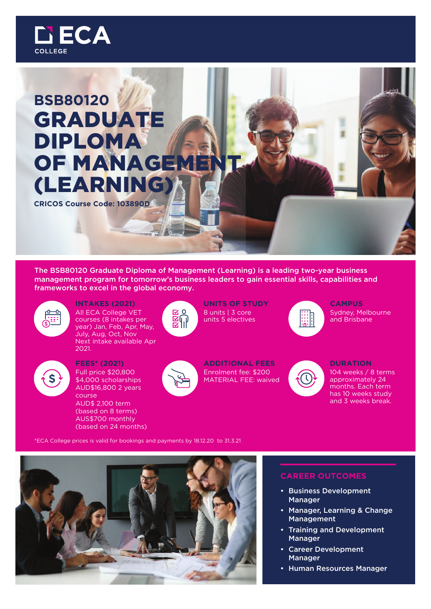

# **BSB80120** GRADUATE DIPLOMA **OF MANAGEME** (LEARNING)

**CRICOS Course Code: 103890D**

The BSB80120 Graduate Diploma of Management (Learning) is a leading two-year business management program for tomorrow's business leaders to gain essential skills, capabilities and frameworks to excel in the global economy.



**INTAKES (2021)** All ECA College VET courses (8 intakes per year) Jan, Feb, Apr, May, July, Aug, Oct, Nov Next intake available Apr 2021.



**FEES\* (2021)** Full price \$20,800 \$4,000 scholarships AUD\$16,800 2 years course AUD\$ 2,100 term (based on 8 terms) AUS\$700 monthly (based on 24 months)



**UNITS OF STUDY** 8 units | 3 core units 5 electives



**ADDITIONAL FEES** Enrolment fee: \$200 MATERIAL FEE: waived



**CAMPUS** Sydney, Melbourne and Brisbane



### **DURATION** 104 weeks / 8 terms approximately 24 months. Each term has 10 weeks study and 3 weeks break.

\*ECA College prices is valid for bookings and payments by 18.12.20 to 31.3.21



# **CAREER OUTCOMES**

- Business Development Manager
- Manager, Learning & Change Management
- Training and Development Manager
- Career Development Manager
- Human Resources Manager